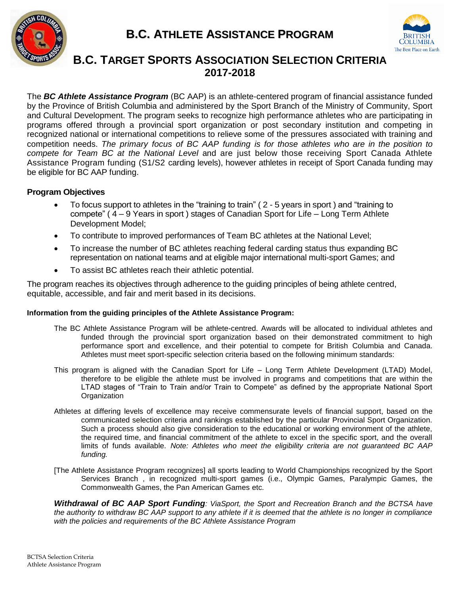



# **B.C. TARGET SPORTS ASSOCIATION SELECTION CRITERIA 2017-2018**

The *BC Athlete Assistance Program* (BC AAP) is an athlete-centered program of financial assistance funded by the Province of British Columbia and administered by the Sport Branch of the Ministry of Community, Sport and Cultural Development. The program seeks to recognize high performance athletes who are participating in programs offered through a provincial sport organization or post secondary institution and competing in recognized national or international competitions to relieve some of the pressures associated with training and competition needs. *The primary focus of BC AAP funding is for those athletes who are in the position to compete for Team BC at the National Level* and are just below those receiving Sport Canada Athlete Assistance Program funding (S1/S2 carding levels), however athletes in receipt of Sport Canada funding may be eligible for BC AAP funding.

# **Program Objectives**

- To focus support to athletes in the "training to train" ( 2 5 years in sport ) and "training to compete"  $(4 - 9$  Years in sport) stages of Canadian Sport for Life – Long Term Athlete Development Model;
- To contribute to improved performances of Team BC athletes at the National Level;
- To increase the number of BC athletes reaching federal carding status thus expanding BC representation on national teams and at eligible major international multi-sport Games; and
- To assist BC athletes reach their athletic potential.

The program reaches its objectives through adherence to the guiding principles of being athlete centred, equitable, accessible, and fair and merit based in its decisions.

# **Information from the guiding principles of the Athlete Assistance Program:**

- The BC Athlete Assistance Program will be athlete-centred. Awards will be allocated to individual athletes and funded through the provincial sport organization based on their demonstrated commitment to high performance sport and excellence, and their potential to compete for British Columbia and Canada. Athletes must meet sport-specific selection criteria based on the following minimum standards:
- This program is aligned with the Canadian Sport for Life Long Term Athlete Development (LTAD) Model, therefore to be eligible the athlete must be involved in programs and competitions that are within the LTAD stages of "Train to Train and/or Train to Compete" as defined by the appropriate National Sport **Organization**
- Athletes at differing levels of excellence may receive commensurate levels of financial support, based on the communicated selection criteria and rankings established by the particular Provincial Sport Organization. Such a process should also give consideration to the educational or working environment of the athlete, the required time, and financial commitment of the athlete to excel in the specific sport, and the overall limits of funds available. *Note: Athletes who meet the eligibility criteria are not guaranteed BC AAP funding.*
- [The Athlete Assistance Program recognizes] all sports leading to World Championships recognized by the Sport Services Branch , in recognized multi-sport games (i.e., Olympic Games, Paralympic Games, the Commonwealth Games, the Pan American Games etc.

*Withdrawal of BC AAP Sport Funding: ViaSport, the Sport and Recreation Branch and the BCTSA have the authority to withdraw BC AAP support to any athlete if it is deemed that the athlete is no longer in compliance with the policies and requirements of the BC Athlete Assistance Program*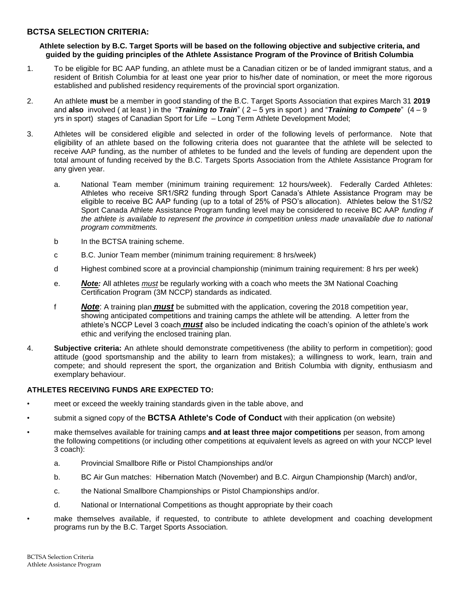## **BCTSA SELECTION CRITERIA:**

#### **Athlete selection by B.C. Target Sports will be based on the following objective and subjective criteria, and guided by the guiding principles of the Athlete Assistance Program of the Province of British Columbia**

- 1. To be eligible for BC AAP funding, an athlete must be a Canadian citizen or be of landed immigrant status, and a resident of British Columbia for at least one year prior to his/her date of nomination, or meet the more rigorous established and published residency requirements of the provincial sport organization.
- 2. An athlete **must** be a member in good standing of the B.C. Target Sports Association that expires March 31 **2019** and **also** involved ( at least ) in the "*Training to Train*" ( 2 – 5 yrs in sport ) and "*Training to Compete*" (4 – 9 yrs in sport) stages of Canadian Sport for Life – Long Term Athlete Development Model;
- 3. Athletes will be considered eligible and selected in order of the following levels of performance. Note that eligibility of an athlete based on the following criteria does not guarantee that the athlete will be selected to receive AAP funding, as the number of athletes to be funded and the levels of funding are dependent upon the total amount of funding received by the B.C. Targets Sports Association from the Athlete Assistance Program for any given year.
	- a. National Team member (minimum training requirement: 12 hours/week). Federally Carded Athletes: Athletes who receive SR1/SR2 funding through Sport Canada's Athlete Assistance Program may be eligible to receive BC AAP funding (up to a total of 25% of PSO's allocation). Athletes below the S1/S2 Sport Canada Athlete Assistance Program funding level may be considered to receive BC AAP *funding if the athlete is available to represent the province in competition unless made unavailable due to national program commitments.*
	- b In the BCTSA training scheme.
	- c B.C. Junior Team member (minimum training requirement: 8 hrs/week)
	- d Highest combined score at a provincial championship (minimum training requirement: 8 hrs per week)
	- e. *Note:* All athletes *must* be regularly working with a coach who meets the 3M National Coaching Certification Program (3M NCCP) standards as indicated.
	- f *Note*: A training plan *must* be submitted with the application, covering the 2018 competition year, showing anticipated competitions and training camps the athlete will be attending. A letter from the athlete's NCCP Level 3 coach *must* also be included indicating the coach's opinion of the athlete's work ethic and verifying the enclosed training plan.
- 4. **Subjective criteria:** An athlete should demonstrate competitiveness (the ability to perform in competition); good attitude (good sportsmanship and the ability to learn from mistakes); a willingness to work, learn, train and compete; and should represent the sport, the organization and British Columbia with dignity, enthusiasm and exemplary behaviour.

#### **ATHLETES RECEIVING FUNDS ARE EXPECTED TO:**

- meet or exceed the weekly training standards given in the table above, and
- submit a signed copy of the **BCTSA Athlete's Code of Conduct** with their application (on website)
- make themselves available for training camps **and at least three major competitions** per season, from among the following competitions (or including other competitions at equivalent levels as agreed on with your NCCP level 3 coach):
	- a. Provincial Smallbore Rifle or Pistol Championships and/or
	- b. BC Air Gun matches: Hibernation Match (November) and B.C. Airgun Championship (March) and/or,
	- c. the National Smallbore Championships or Pistol Championships and/or.
	- d. National or International Competitions as thought appropriate by their coach
	- make themselves available, if requested, to contribute to athlete development and coaching development programs run by the B.C. Target Sports Association.